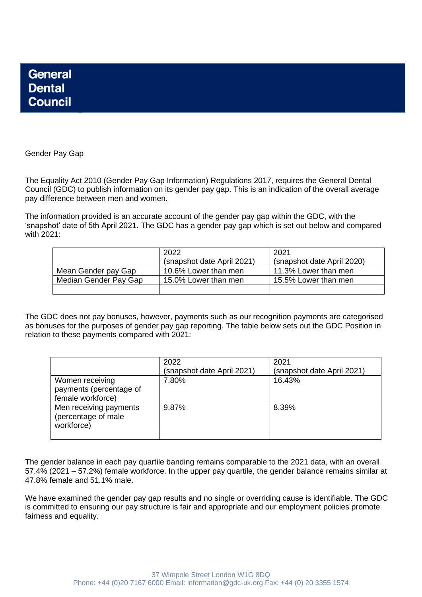Gender Pay Gap

The Equality Act 2010 (Gender Pay Gap Information) Regulations 2017, requires the General Dental Council (GDC) to publish information on its gender pay gap. This is an indication of the overall average pay difference between men and women.

The information provided is an accurate account of the gender pay gap within the GDC, with the 'snapshot' date of 5th April 2021. The GDC has a gender pay gap which is set out below and compared with 2021:

|                       | 2022                       | 2021                       |
|-----------------------|----------------------------|----------------------------|
|                       | (snapshot date April 2021) | (snapshot date April 2020) |
| Mean Gender pay Gap   | 10.6% Lower than men       | 11.3% Lower than men       |
| Median Gender Pay Gap | 15.0% Lower than men       | 15.5% Lower than men       |
|                       |                            |                            |

The GDC does not pay bonuses, however, payments such as our recognition payments are categorised as bonuses for the purposes of gender pay gap reporting. The table below sets out the GDC Position in relation to these payments compared with 2021:

|                                                                 | 2022                       | 2021                       |
|-----------------------------------------------------------------|----------------------------|----------------------------|
|                                                                 | (snapshot date April 2021) | (snapshot date April 2021) |
| Women receiving<br>payments (percentage of<br>female workforce) | 7.80%                      | 16.43%                     |
| Men receiving payments<br>(percentage of male<br>workforce)     | 9.87%                      | 8.39%                      |
|                                                                 |                            |                            |

The gender balance in each pay quartile banding remains comparable to the 2021 data, with an overall 57.4% (2021 – 57.2%) female workforce. In the upper pay quartile, the gender balance remains similar at 47.8% female and 51.1% male.

We have examined the gender pay gap results and no single or overriding cause is identifiable. The GDC is committed to ensuring our pay structure is fair and appropriate and our employment policies promote fairness and equality.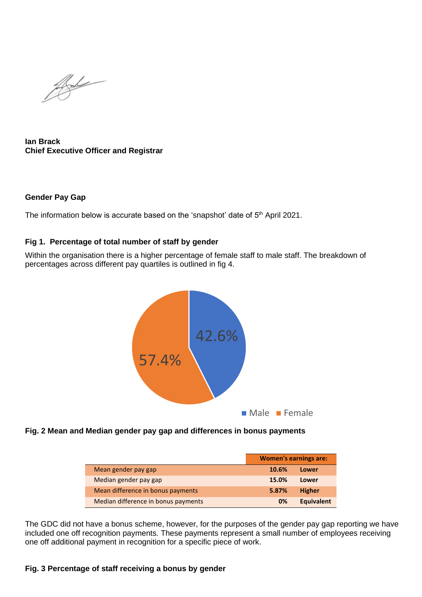Added

**Ian Brack Chief Executive Officer and Registrar**

## **Gender Pay Gap**

The information below is accurate based on the 'snapshot' date of 5<sup>th</sup> April 2021.

## **Fig 1. Percentage of total number of staff by gender**

Within the organisation there is a higher percentage of female staff to male staff. The breakdown of percentages across different pay quartiles is outlined in fig 4.



# **Fig. 2 Mean and Median gender pay gap and differences in bonus payments**

|                                     |       | <b>Women's earnings are:</b> |  |
|-------------------------------------|-------|------------------------------|--|
| Mean gender pay gap                 | 10.6% | Lower                        |  |
| Median gender pay gap               | 15.0% | Lower                        |  |
| Mean difference in bonus payments   | 5.87% | <b>Higher</b>                |  |
| Median difference in bonus payments | 0%    | <b>Equivalent</b>            |  |

The GDC did not have a bonus scheme, however, for the purposes of the gender pay gap reporting we have included one off recognition payments. These payments represent a small number of employees receiving one off additional payment in recognition for a specific piece of work.

#### **Fig. 3 Percentage of staff receiving a bonus by gender**